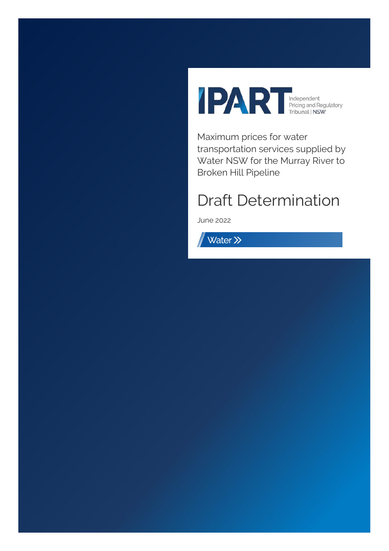

Maximum prices for water transportation services supplied by Water NSW for the Murray River to Broken Hill Pipeline

# Draft Determination

June 2022

Water >>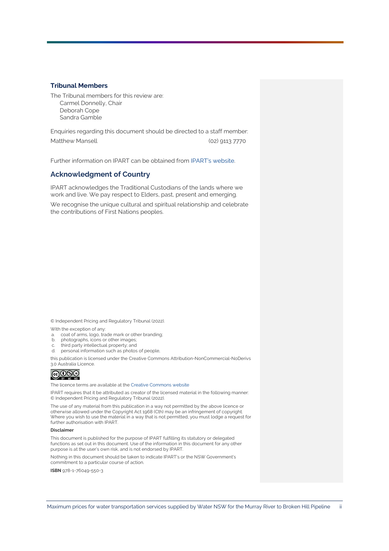#### **Tribunal Members**

The Tribunal members for this review are: Carmel Donnelly, Chair Deborah Cope Sandra Gamble

Enquiries regarding this document should be directed to a staff member: Matthew Mansell (02) 9113 7770

Further information on IPART can be obtained from [IPART's website.](https://www.ipart.nsw.gov.au/Home)

#### **Acknowledgment of Country**

IPART acknowledges the Traditional Custodians of the lands where we work and live. We pay respect to Elders, past, present and emerging.

We recognise the unique cultural and spiritual relationship and celebrate the contributions of First Nations peoples.

© Independent Pricing and Regulatory Tribunal (2022).

With the exception of any:

- a. coat of arms, logo, trade mark or other branding;
- b. photographs, icons or other images;
- c. third party intellectual property; and
- d. personal information such as photos of people,

this publication is licensed under the Creative Commons Attribution-NonCommercial-NoDerivs 3.0 Australia Licence.



The licence terms are available at th[e Creative Commons](https://creativecommons.org/licenses/by-nc-nd/3.0/au/legalcode) website

IPART requires that it be attributed as creator of the licensed material in the following manner: © Independent Pricing and Regulatory Tribunal (2022).

The use of any material from this publication in a way not permitted by the above licence or otherwise allowed under the Copyright Act 1968 (Cth) may be an infringement of copyright. Where you wish to use the material in a way that is not permitted, you must lodge a request for further authorisation with IPART.

#### **Disclaimer**

This document is published for the purpose of IPART fulfilling its statutory or delegated functions as set out in this document. Use of the information in this document for any other purpose is at the user's own risk, and is not endorsed by IPART.

Nothing in this document should be taken to indicate IPART's or the NSW Government's commitment to a particular course of action.

**ISBN** 978-1-76049-550-3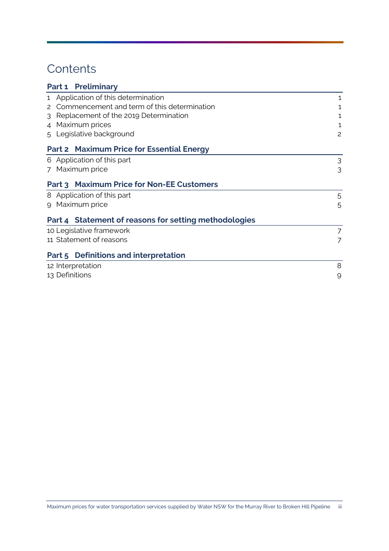# **Contents**

| <b>Preliminary</b><br>Part 1                          |   |  |  |
|-------------------------------------------------------|---|--|--|
| 1 Application of this determination                   | 1 |  |  |
| Commencement and term of this determination<br>2      | 1 |  |  |
| Replacement of the 2019 Determination<br>3            | 1 |  |  |
| Maximum prices<br>$\overline{4}$                      |   |  |  |
| 5 Legislative background                              | 2 |  |  |
| <b>Part 2 Maximum Price for Essential Energy</b>      |   |  |  |
| 6 Application of this part                            | 3 |  |  |
| 7 Maximum price                                       | 3 |  |  |
| Part 3 Maximum Price for Non-EE Customers             |   |  |  |
| 8 Application of this part                            | 5 |  |  |
| 9 Maximum price                                       |   |  |  |
| Part 4 Statement of reasons for setting methodologies |   |  |  |
| 10 Legislative framework                              | 7 |  |  |
| 11 Statement of reasons                               |   |  |  |
| Part 5 Definitions and interpretation                 |   |  |  |
| 8<br>12 Interpretation                                |   |  |  |
| 13 Definitions<br>9                                   |   |  |  |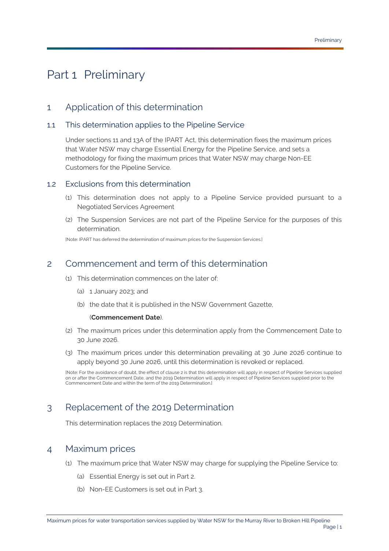# <span id="page-3-0"></span>Part 1 Preliminary

## <span id="page-3-1"></span>1 Application of this determination

### 1.1 This determination applies to the [Pipeline Service](#page-13-0)

Under sections 11 and 13A of the [IPART Act,](#page-12-0) this determination fixes the maximum prices that [Water NSW](#page-14-0) may charge [Essential Energy](#page-12-1) for the [Pipeline Service,](#page-13-0) and sets a methodology for fixing the maximum prices that [Water NSW](#page-14-0) may charge [Non-EE](#page-13-1) [Customers](#page-13-1) for the [Pipeline Service.](#page-13-0) 

#### 1.2 Exclusions from this determination

- (1) This determination does not apply to a [Pipeline Service](#page-13-0) provided pursuant to a [Negotiated Services Agreement](#page-13-2)
- (2) The [Suspension Services](#page-14-1) are not part of the [Pipeline Service](#page-13-0) for the purposes of this determination.

[Note: IPART has deferred the determination of maximum prices for th[e Suspension Services.\]](#page-14-1)

## <span id="page-3-5"></span><span id="page-3-2"></span>2 Commencement and term of this determination

- (1) This determination commences on the later of:
	- (a) 1 January 2023; and
	- (b) the date that it is published in the NSW Government Gazette,

#### (**[Commencement Date](#page-12-2)**).

- (2) The maximum prices under this determination apply from the [Commencement Date](#page-12-2) to 30 June 2026.
- (3) The maximum prices under this determination prevailing at 30 June 2026 continue to apply beyond 30 June 2026, until this determination is revoked or replaced.

[Note: For the avoidance of doubt, the effect of clause 2 is that this determination will apply in respect of Pipeline Services supplied on or after the Commencement Date, and the 2019 Determination will apply in respect of Pipeline Services supplied prior to the Commencement Date and within the term of the 2019 Determination.]

## <span id="page-3-3"></span>3 Replacement of the [2019 Determination](#page-12-3)

This determination replaces the [2019 Determination.](#page-12-3)

### <span id="page-3-4"></span>4 Maximum prices

- (1) The maximum price that [Water NSW](#page-14-0) may charge for supplying the [Pipeline Service](#page-13-0) to:
	- (a) [Essential Energy](#page-12-1) is set out in [Part 2.](#page-5-0)
	- (b) Non-EE [Customers](#page-13-1) is set out in [Part 3.](#page-7-0)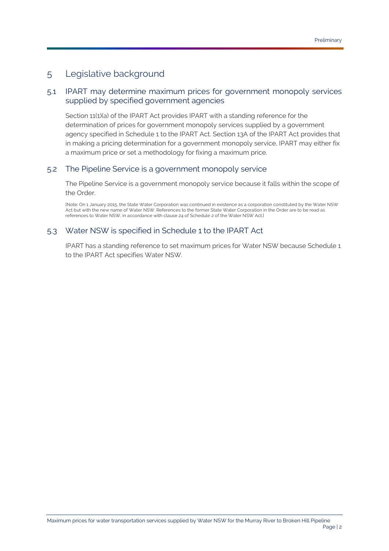## <span id="page-4-0"></span>5 Legislative background

### 5.1 [IPART](#page-12-4) may determine maximum prices for government monopoly services supplied by specified government agencies

Section 11(1)(a) of the [IPART Act](#page-12-0) provides [IPART](#page-12-4) with a standing reference for the determination of prices for government monopoly services supplied by a government agency specified in Schedule 1 to the [IPART Act.](#page-12-0) Section 13A of the [IPART Act](#page-12-0) provides that in making a pricing determination for a government monopoly service, [IPART](#page-12-4) may either fix a maximum price or set a methodology for fixing a maximum price.

### 5.2 The [Pipeline Service](#page-13-0) is a government monopoly service

Th[e Pipeline Service](#page-13-0) is a government monopoly service because it falls within the scope of the [Order.](#page-13-3)

[Note: On 1 January 2015, the State Water Corporation was continued in existence as a corporation constituted by the Water NSW Act but with the new name of Water NSW. References to the former State Water Corporation in the Order are to be read as references to Water NSW, in accordance with clause 24 of Schedule 2 of the Water NSW Act.]

### 5.3 [Water NSW](#page-14-0) is specified in Schedule 1 to the [IPART Act](#page-12-0)

[IPART](#page-12-4) has a standing reference to set maximum prices for [Water NSW](#page-14-0) because Schedule 1 to the [IPART Act](#page-12-0) specifies [Water NSW.](#page-14-0)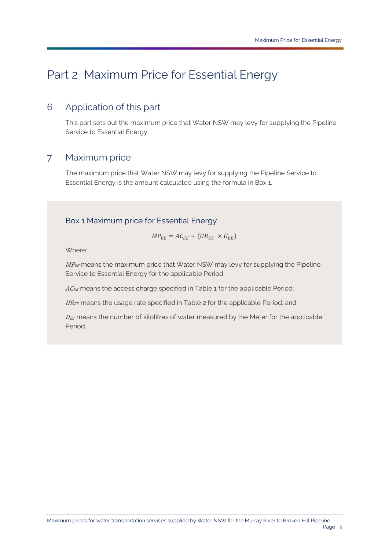# <span id="page-5-0"></span>Part 2 Maximum Price for [Essential Energy](#page-12-1)

## <span id="page-5-1"></span>6 Application of this part

This part sets out the maximum price that [Water NSW](#page-14-0) may levy for supplying the [Pipeline](#page-13-0)  [Service](#page-13-0) to [Essential Energy.](#page-12-1)

### <span id="page-5-2"></span>7 Maximum price

The maximum price that [Water NSW](#page-14-0) may levy for supplying the [Pipeline Service](#page-13-0) to [Essential Energy](#page-12-1) is the amount calculated using the formula in [Box 1.](#page-5-3)

### <span id="page-5-3"></span>Box 1 Maximum price for [Essential Energy](#page-12-1)

$$
MP_{EE} = AC_{EE} + (UR_{EE} \times U_{EE})
$$

Where:

 $M P_{EE}$  means the maximum price that [Water NSW](#page-14-0) may levy for supplying the Pipeline [Service](#page-13-0) to [Essential Energy](#page-12-1) for the applicable [Period;](#page-13-4)

 $AC_{EE}$  means the access charge specified in Table 1 for the applicable [Period;](#page-13-4)

UREE means the usage rate specified in Table 2 for the applicable [Period;](#page-13-4) and

 $U_{EE}$  means the number of kilolitres of water measured by the [Meter](#page-12-5) for the applicable [Period.](#page-13-4)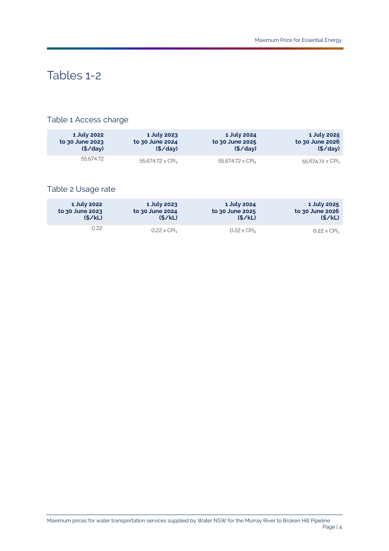# Tables 1-2

## Table 1 Access charge

| 1 July 2022     | 1 July 2023                         | 1 July 2024                  | 1 July 2025     |
|-----------------|-------------------------------------|------------------------------|-----------------|
| to 30 June 2023 | to 30 June 2024                     | to 30 June 2025              | to 30 June 2026 |
| (S / day)       | (S / day)                           | (S / day)                    | $(\frac{1}{2})$ |
| 55.674.72       | 55,674.72 $\times$ CPI <sub>1</sub> | 55.674.72 x CPI <sub>2</sub> |                 |

### Table 2 Usage rate

| 1 July 2025        | 1 July 2024                    | 1 July 2023                    | 1 July 2022     |
|--------------------|--------------------------------|--------------------------------|-----------------|
| to 30 June 2026    | to 30 June 2025                | to 30 June 2024                | to 30 June 2023 |
| (S/KL)             | (S/KL)                         | (S/KL)                         | (S/KL)          |
| $0.22 \times CPI3$ | $0.22 \times$ CPI <sub>2</sub> | $0.22 \times$ CPI <sub>1</sub> | 7.22            |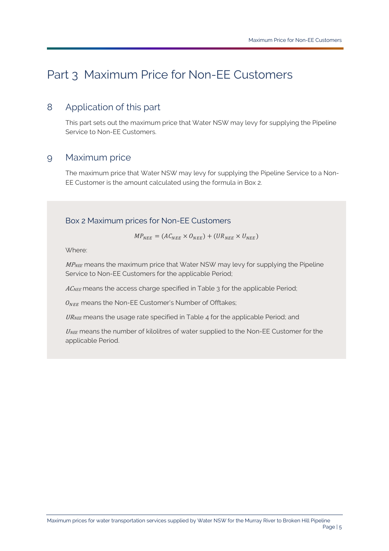# <span id="page-7-0"></span>Part 3 Maximum Price for Non-EE [Customers](#page-13-1)

## <span id="page-7-1"></span>8 Application of this part

This part sets out the maximum price that [Water NSW](#page-14-0) may levy for supplying the [Pipeline](#page-13-0)  [Service](#page-13-0) to Non-EE [Customers](#page-13-1).

### <span id="page-7-2"></span>9 Maximum price

The maximum price that [Water NSW](#page-14-0) may levy for supplying the [Pipeline Service](#page-13-0) to a [Non-](#page-13-1)EE [Customer](#page-13-1) is the amount calculated using the formula in Box 2.

### Box 2 Maximum prices for Non-EE [Customers](#page-13-1)

 $MP_{NEF} = (AC_{NEF} \times O_{NEF}) + (UR_{NEF} \times U_{NEF})$ 

Where:

 $MP_{NEE}$  means the maximum price that [Water NSW](#page-14-0) may levy for supplying the Pipeline [Service](#page-13-0) to Non-EE [Customers](#page-13-1) for the applicable [Period;](#page-13-4)

 $AC_{NEE}$  means the access charge specified in Table 3 for the applicable [Period;](#page-13-4)

 $O<sub>NEE</sub>$  means the Non-EE [Customer's](#page-13-1) Number of Offtakes;

URNEE means the usage rate specified in Table 4 for the applicable [Period;](#page-13-4) and

 $U_{NEE}$  means the number of kilolitres of water supplied to the Non-EE [Customer](#page-13-1) for the applicable [Period.](#page-13-4)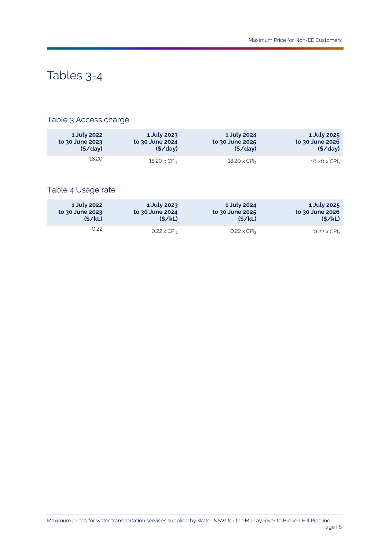# Tables 3-4

## Table 3 Access charge

| 1 July 2025         | 1 July 2024                     | 1 July 2023                     | 1 July 2022     |
|---------------------|---------------------------------|---------------------------------|-----------------|
| to 30 June 2026     | to 30 June 2025                 | to 30 June 2024                 | to 30 June 2023 |
| (S / day)           | (S / day)                       | (S / day)                       | (S / day)       |
| $18.20 \times CPI3$ | $18.20 \times$ CPI <sub>2</sub> | $18.20 \times$ CPI <sub>1</sub> | 18.20           |

## Table 4 Usage rate

| 1 July 2022     | 1 July 2023                    | 1 July 2024                    | 1 July 2025                |
|-----------------|--------------------------------|--------------------------------|----------------------------|
| to 30 June 2023 | to 30 June 2024                | to 30 June 2025                | to 30 June 2026            |
| (S/KL)          | (S/KL)                         | (S/KL)                         | (S/KL)                     |
| 0.22            | $0.22 \times$ CPI <sub>1</sub> | $0.22 \times$ CPI <sub>2</sub> | $0.22 \times \text{CPI}_3$ |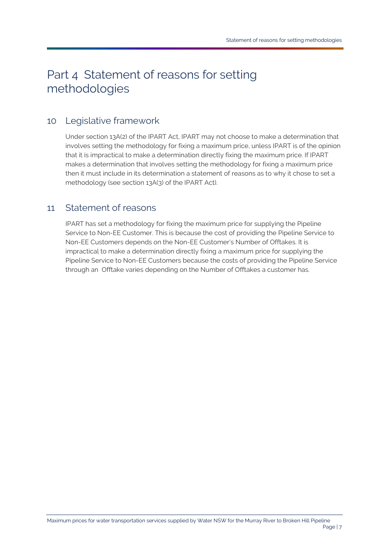# <span id="page-9-0"></span>Part 4 Statement of reasons for setting methodologies

## <span id="page-9-1"></span>10 Legislative framework

Under section 13A(2) of the [IPART Act,](#page-12-0) [IPART](#page-12-4) may not choose to make a determination that involves setting the methodology for fixing a maximum price, unless [IPART](#page-12-4) is of the opinion that it is impractical to make a determination directly fixing the maximum price. I[f IPART](#page-12-4) makes a determination that involves setting the methodology for fixing a maximum price then it must include in its determination a statement of reasons as to why it chose to set a methodology (see section 13A(3) of the [IPART Act\)](#page-12-0).

## <span id="page-9-2"></span>11 Statement of reasons

[IPART](#page-12-4) has set a methodology for fixing the maximum price for supplying the [Pipeline](#page-13-0)  [Service](#page-13-0) to Non-EE [Customer.](#page-13-1) This is because the cost of providing the [Pipeline Service](#page-13-0) to Non-EE [Customers](#page-13-1) depends on the Non-EE [Customer's](#page-13-1) [Number of Offtakes.](#page-13-5) It is impractical to make a determination directly fixing a maximum price for supplying the [Pipeline Service](#page-13-0) to Non-EE [Customers](#page-13-1) because the costs of providing the [Pipeline Service](#page-13-0) through an [Offtake](#page-13-6) varies depending on the [Number of Offtakes](#page-13-5) a customer has.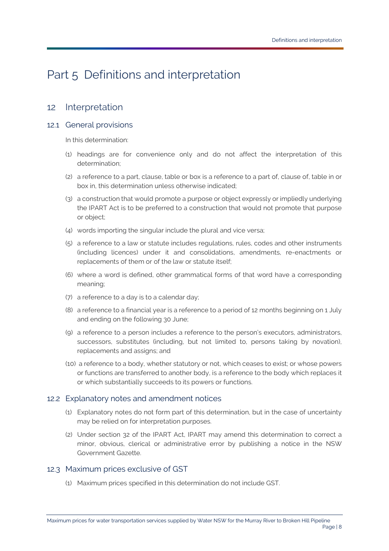# <span id="page-10-0"></span>Part 5 Definitions and interpretation

## <span id="page-10-1"></span>12 Interpretation

### 12.1 General provisions

In this determination:

- (1) headings are for convenience only and do not affect the interpretation of this determination;
- (2) a reference to a part, clause, table or box is a reference to a part of, clause of, table in or box in, this determination unless otherwise indicated;
- (3) a construction that would promote a purpose or object expressly or impliedly underlying the [IPART Act](#page-12-0) is to be preferred to a construction that would not promote that purpose or object;
- (4) words importing the singular include the plural and vice versa;
- (5) a reference to a law or statute includes regulations, rules, codes and other instruments (including licences) under it and consolidations, amendments, re-enactments or replacements of them or of the law or statute itself;
- (6) where a word is defined, other grammatical forms of that word have a corresponding meaning;
- (7) a reference to a day is to a calendar day;
- (8) a reference to a financial year is a reference to a period of 12 months beginning on 1 July and ending on the following 30 June;
- (9) a reference to a person includes a reference to the person's executors, administrators, successors, substitutes (including, but not limited to, persons taking by novation), replacements and assigns; and
- (10) a reference to a body, whether statutory or not, which ceases to exist; or whose powers or functions are transferred to another body, is a reference to the body which replaces it or which substantially succeeds to its powers or functions.

### 12.2 Explanatory notes and amendment notices

- (1) Explanatory notes do not form part of this determination, but in the case of uncertainty may be relied on for interpretation purposes.
- (2) Under section 32 of the IPART Act, IPART may amend this determination to correct a minor, obvious, clerical or administrative error by publishing a notice in the NSW Government Gazette.

### 12.3 Maximum prices exclusive of GST

(1) Maximum prices specified in this determination do not includ[e GST.](#page-12-6)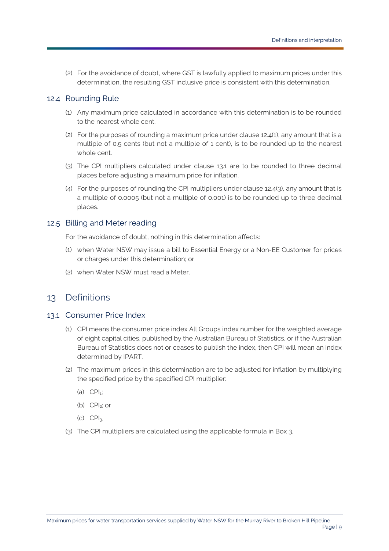(2) For the avoidance of doubt, where [GST](#page-12-6) is lawfully applied to maximum prices under this determination, the resulting [GST](#page-12-6) inclusive price is consistent with this determination.

#### <span id="page-11-1"></span>12.4 Rounding Rule

- (1) Any maximum price calculated in accordance with this determination is to be rounded to the nearest whole cent.
- (2) For the purposes of rounding a maximum price under clause [12.4\(1\),](#page-11-1) any amount that is a multiple of 0.5 cents (but not a multiple of 1 cent), is to be rounded up to the nearest whole cent.
- <span id="page-11-3"></span>(3) The CPI multipliers calculated under clause [13.1](#page-11-2) are to be rounded to three decimal places before adjusting a maximum price for inflation.
- (4) For the purposes of rounding the CPI multipliers under clause [12.4\(3\),](#page-11-3) any amount that is a multiple of 0.0005 (but not a multiple of 0.001) is to be rounded up to three decimal places.

#### 12.5 Billing and Meter reading

For the avoidance of doubt, nothing in this determination affects:

- (1) when [Water NSW](#page-14-0) may issue a bill to [Essential Energy](#page-12-1) or a Non-EE [Customer](#page-13-1) for prices or charges under this determination; or
- (2) when [Water NSW](#page-14-0) must read a [Meter.](#page-12-5)

## <span id="page-11-0"></span>13 Definitions

#### <span id="page-11-2"></span>13.1 Consumer Price Index

- (1) CPI means the consumer price index All Groups index number for the weighted average of eight capital cities, published by the Australian Bureau of Statistics, or if the Australian Bureau of Statistics does not or ceases to publish the index, then CPI will mean an index determined by [IPART.](#page-12-4)
- (2) The maximum prices in this determination are to be adjusted for inflation by multiplying the specified price by the specified CPI multiplier:
	- $(a)$  CPI<sub>1</sub>;
	- (b) CPI2; or
	- $(C)$   $CPI<sub>3</sub>$
- (3) The CPI multipliers are calculated using the applicable formula in Box 3.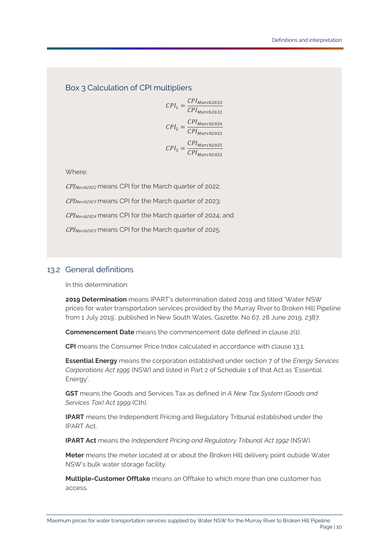Box 3 Calculation of CPI multipliers

 $I_1 = \frac{CPI_{March2023}}{CPI_{March2022}}$  $I_2 = \frac{CPI_{March2024}}{CPI_{March2022}}$  $I_3 = \frac{CPI_{March2025}}{CPI_{March2022}}$ 

Where:

CPI<sub>March2022</sub> means CPI for the March quarter of 2022; CPI<sub>March2023</sub> means CPI for the March quarter of 2023; CPI<sub>March2024</sub> means CPI for the March quarter of 2024; and CPI<sub>March2025</sub> means CPI for the March quarter of 2025.

### 13.2 General definitions

In this determination:

<span id="page-12-3"></span>**2019 Determination** means [IPART's](#page-12-4) determination dated 2019 and titled 'Water NSW prices for water transportation services provided by the Murray River to Broken Hill Pipeline from 1 July 2019', published in New South Wales, Gazette, No 67, 28 June 2019, 2387.

<span id="page-12-2"></span>**Commencement Date** means the commencement date defined in clause [2\(1\).](#page-3-5)

**CPI** means the Consumer Price Index calculated in accordance with clause [13.1.](#page-11-2)

<span id="page-12-1"></span>**Essential Energy** means the corporation established under section 7 of the *Energy Services Corporations Act 1995* (NSW) and listed in Part 2 of Schedule 1 of that Act as 'Essential Energy'.

<span id="page-12-6"></span>**GST** means the Goods and Services Tax as defined in *A New Tax System (Goods and Services Tax) Act 1999* (Cth).

<span id="page-12-4"></span>**IPART** means the Independent Pricing and Regulatory Tribunal established under the [IPART Act.](#page-12-0)

<span id="page-12-0"></span>**IPART Act** means the *Independent Pricing and Regulatory Tribunal Act 1992* (NSW).

<span id="page-12-5"></span>**Meter** means the meter located at or about the Broken Hill delivery point outsid[e Water](#page-14-0)  [NSW's](#page-14-0) bulk water storage facility.

<span id="page-12-7"></span>**Multiple-Customer Offtake** means an [Offtake](#page-13-6) to which more than one customer has access.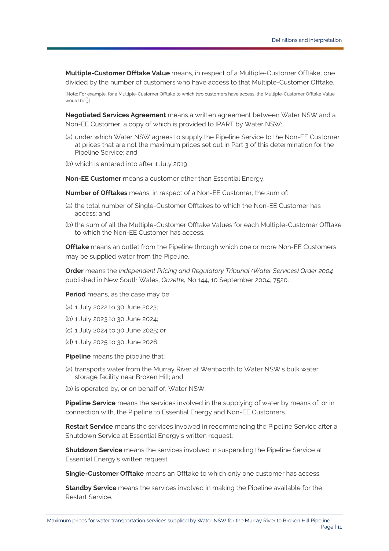<span id="page-13-7"></span>**Multiple-Customer Offtake Value** means, in respect of a [Multiple-Customer Offtake,](#page-12-7) one divided by the number of customers who have access to that [Multiple-Customer Offtake.](#page-12-7)

[Note: For example, for [a Multiple-Customer Offtake](#page-12-7) to which two customers have access, th[e Multiple-Customer Offtake Value](#page-13-7) would be  $\frac{1}{2}$ ] 2

<span id="page-13-2"></span>**Negotiated Services Agreement** means a written agreement betwee[n Water NSW](#page-14-0) and a Non-EE [Customer,](#page-13-1) a copy of which is provided to [IPART](#page-12-4) by [Water NSW:](#page-14-0)

- (a) under which [Water NSW](#page-14-0) agrees to supply the [Pipeline Service](#page-13-0) to the Non-EE [Customer](#page-13-1) at prices that are not the maximum prices set out in Part 3 of this determination for the [Pipeline Service;](#page-13-0) and
- (b) which is entered into after 1 July 2019.

<span id="page-13-1"></span>**Non-EE Customer** means a customer other tha[n Essential Energy.](#page-12-1) 

<span id="page-13-5"></span>**Number of Offtakes** means, in respect of a Non-EE [Customer,](#page-13-1) the sum of:

- (a) the total number of [Single-Customer Offtakes](#page-13-8) to which the Non-EE [Customer](#page-13-1) has access; and
- (b) the sum of all the [Multiple-Customer Offtake Values](#page-13-7) for each [Multiple-Customer Offtake](#page-12-7) to which the Non-EE [Customer](#page-13-1) has access.

<span id="page-13-6"></span>**Offtake** means an outlet from the [Pipeline](#page-13-9) through which one or more Non-EE [Customers](#page-13-1) may be supplied water from the [Pipeline.](#page-13-9) 

<span id="page-13-3"></span>**Order** means the *Independent Pricing and Regulatory Tribunal (Water Services) Order 2004* published in New South Wales, *Gazette,* No 144, 10 September 2004, 7520.

<span id="page-13-4"></span>**Period** means, as the case may be:

- (a) 1 July 2022 to 30 June 2023;
- (b) 1 July 2023 to 30 June 2024;
- (c) 1 July 2024 to 30 June 2025; or
- (d) 1 July 2025 to 30 June 2026.

<span id="page-13-9"></span>**Pipeline** means the pipeline that:

- (a) transports water from the Murray River at Wentworth to [Water NSW's](#page-14-0) bulk water storage facility near Broken Hill; and
- (b) is operated by, or on behalf of, [Water NSW.](#page-14-0)

<span id="page-13-0"></span>**Pipeline Service** means the services involved in the supplying of water by means of, or in connection with, the [Pipeline](#page-13-9) to [Essential Energy](#page-12-1) and Non-EE [Customers](#page-13-1).

<span id="page-13-11"></span>**Restart Service** means the services involved in recommencing the [Pipeline Service](#page-13-0) after a [Shutdown Service](#page-13-10) at [Essential Energy's](#page-12-1) written request.

<span id="page-13-10"></span>**Shutdown Service** means the services involved in suspending the [Pipeline Service](#page-13-0) at [Essential Energy's](#page-12-1) written request.

<span id="page-13-8"></span>**Single-Customer Offtake** means an [Offtake](#page-13-6) to which only one customer has access.

<span id="page-13-12"></span>**Standby Service** means the services involved in making the [Pipeline](#page-13-9) available for the [Restart Service.](#page-13-11)